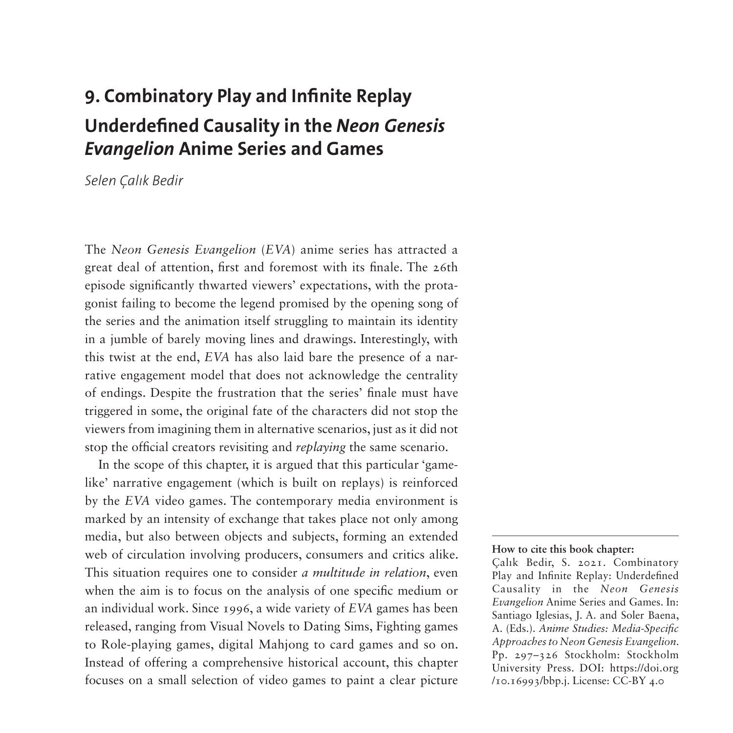# **9. Combinatory Play and Infinite Replay Underdefined Causality in the** *Neon Genesis Evangelion* **Anime Series and Games**

*Selen Çalık Bedir*

The *Neon Genesis Evangelion* (*EVA*) anime series has attracted a great deal of attention, first and foremost with its finale. The 26th episode significantly thwarted viewers' expectations, with the protagonist failing to become the legend promised by the opening song of the series and the animation itself struggling to maintain its identity in a jumble of barely moving lines and drawings. Interestingly, with this twist at the end, *EVA* has also laid bare the presence of a narrative engagement model that does not acknowledge the centrality of endings. Despite the frustration that the series' finale must have triggered in some, the original fate of the characters did not stop the viewers from imagining them in alternative scenarios, just as it did not stop the official creators revisiting and *replaying* the same scenario.

In the scope of this chapter, it is argued that this particular 'gamelike' narrative engagement (which is built on replays) is reinforced by the *EVA* video games. The contemporary media environment is marked by an intensity of exchange that takes place not only among media, but also between objects and subjects, forming an extended web of circulation involving producers, consumers and critics alike. This situation requires one to consider *a multitude in relation*, even when the aim is to focus on the analysis of one specific medium or an individual work. Since 1996, a wide variety of *EVA* games has been released, ranging from Visual Novels to Dating Sims, Fighting games to Role-playing games, digital Mahjong to card games and so on. Instead of offering a comprehensive historical account, this chapter focuses on a small selection of video games to paint a clear picture

#### **How to cite this book chapter:**

Çalık Bedir, S. 2021. Combinatory Play and Infinite Replay: Underdefined Causality in the *Neon Genesis Evangelion* Anime Series and Games. In: Santiago Iglesias, J. A. and Soler Baena, A. (Eds.). *Anime Studies: Media-Specific Approaches to Neon Genesis Evangelion*. Pp. 297–326 Stockholm: Stockholm University Press. DOI: [https://doi.org](https://doi.org /10.16993/bbp.j) [/10.16993/bbp.j.](https://doi.org /10.16993/bbp.j) License: CC-BY 4.0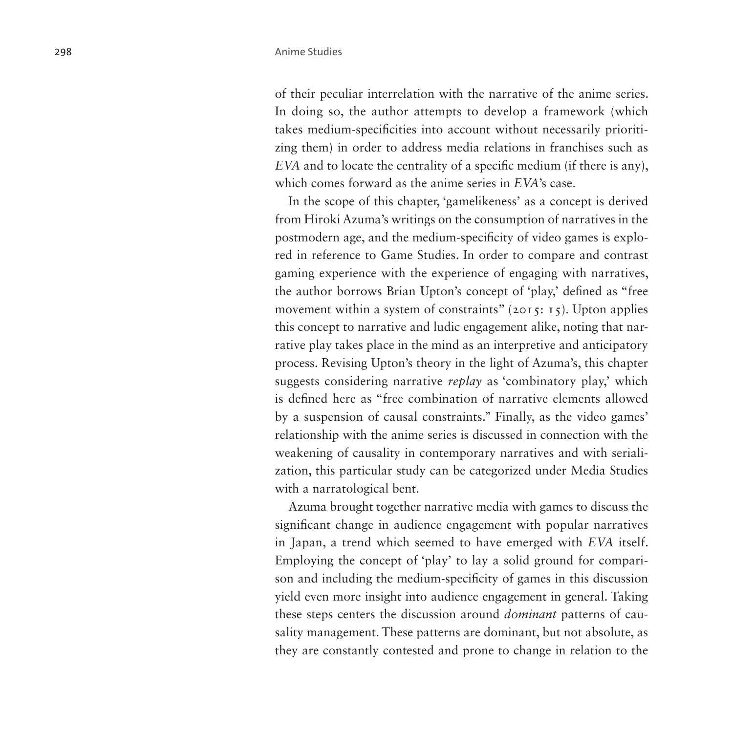of their peculiar interrelation with the narrative of the anime series. In doing so, the author attempts to develop a framework (which takes medium-specificities into account without necessarily prioritizing them) in order to address media relations in franchises such as *EVA* and to locate the centrality of a specific medium (if there is any), which comes forward as the anime series in *EVA*'s case.

In the scope of this chapter, 'gamelikeness' as a concept is derived from Hiroki Azuma's writings on the consumption of narratives in the postmodern age, and the medium-specificity of video games is explored in reference to Game Studies. In order to compare and contrast gaming experience with the experience of engaging with narratives, the author borrows Brian Upton's concept of 'play,' defined as "free movement within a system of constraints"  $(2015: 15)$ . Upton applies this concept to narrative and ludic engagement alike, noting that narrative play takes place in the mind as an interpretive and anticipatory process. Revising Upton's theory in the light of Azuma's, this chapter suggests considering narrative *replay* as 'combinatory play,' which is defined here as "free combination of narrative elements allowed by a suspension of causal constraints." Finally, as the video games' relationship with the anime series is discussed in connection with the weakening of causality in contemporary narratives and with serialization, this particular study can be categorized under Media Studies with a narratological bent.

Azuma brought together narrative media with games to discuss the significant change in audience engagement with popular narratives in Japan, a trend which seemed to have emerged with *EVA* itself. Employing the concept of 'play' to lay a solid ground for comparison and including the medium-specificity of games in this discussion yield even more insight into audience engagement in general. Taking these steps centers the discussion around *dominant* patterns of causality management. These patterns are dominant, but not absolute, as they are constantly contested and prone to change in relation to the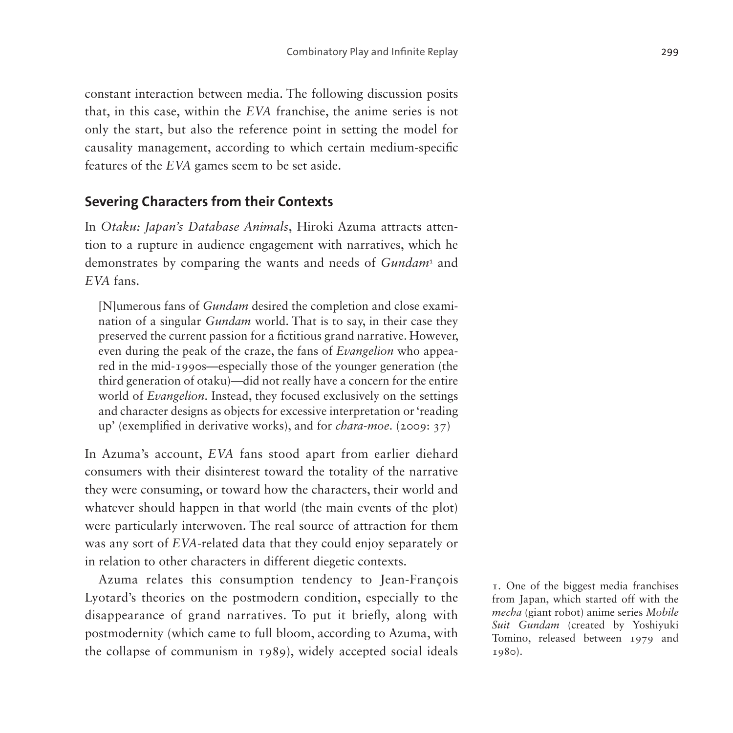constant interaction between media. The following discussion posits that, in this case, within the *EVA* franchise, the anime series is not only the start, but also the reference point in setting the model for causality management, according to which certain medium-specific features of the *EVA* games seem to be set aside.

### **Severing Characters from their Contexts**

In *Otaku: Japan's Database Animals*, Hiroki Azuma attracts attention to a rupture in audience engagement with narratives, which he demonstrates by comparing the wants and needs of *Gundam*<sup>[1](#page-2-0)</sup> and *EVA* fans.

[N]umerous fans of *Gundam* desired the completion and close examination of a singular *Gundam* world. That is to say, in their case they preserved the current passion for a fictitious grand narrative. However, even during the peak of the craze, the fans of *Evangelion* who appeared in the mid-1990s—especially those of the younger generation (the third generation of otaku)—did not really have a concern for the entire world of *Evangelion*. Instead, they focused exclusively on the settings and character designs as objects for excessive interpretation or 'reading up' (exemplified in derivative works), and for *chara-moe*. (2009: 37)

In Azuma's account, *EVA* fans stood apart from earlier diehard consumers with their disinterest toward the totality of the narrative they were consuming, or toward how the characters, their world and whatever should happen in that world (the main events of the plot) were particularly interwoven. The real source of attraction for them was any sort of *EVA*-related data that they could enjoy separately or in relation to other characters in different diegetic contexts.

Azuma relates this consumption tendency to Jean-François Lyotard's theories on the postmodern condition, especially to the disappearance of grand narratives. To put it briefly, along with postmodernity (which came to full bloom, according to Azuma, with the collapse of communism in 1989), widely accepted social ideals

<span id="page-2-0"></span>1. One of the biggest media franchises from Japan, which started off with the *mecha* (giant robot) anime series *Mobile Suit Gundam* (created by Yoshiyuki Tomino, released between 1979 and 1980).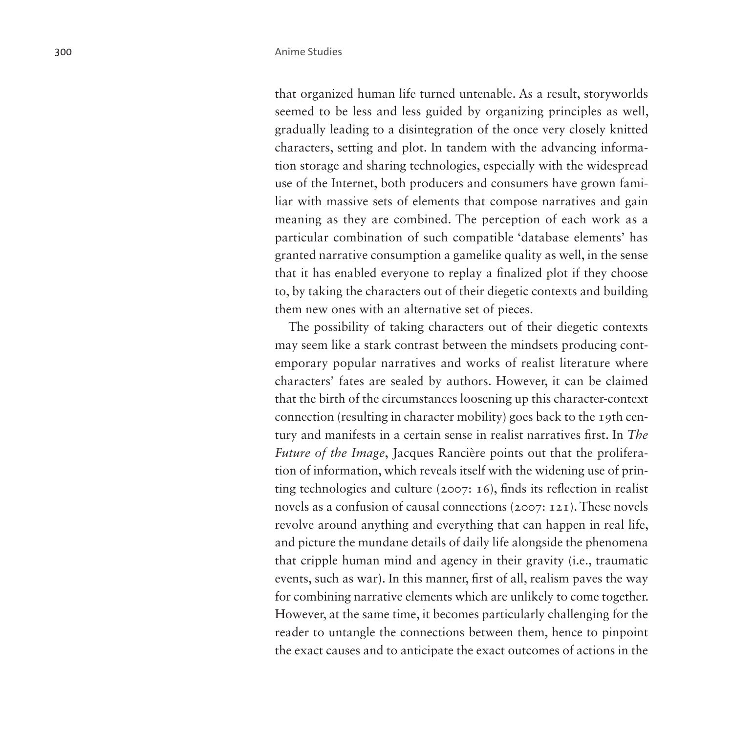that organized human life turned untenable. As a result, storyworlds seemed to be less and less guided by organizing principles as well, gradually leading to a disintegration of the once very closely knitted characters, setting and plot. In tandem with the advancing information storage and sharing technologies, especially with the widespread use of the Internet, both producers and consumers have grown familiar with massive sets of elements that compose narratives and gain meaning as they are combined. The perception of each work as a particular combination of such compatible 'database elements' has granted narrative consumption a gamelike quality as well, in the sense that it has enabled everyone to replay a finalized plot if they choose to, by taking the characters out of their diegetic contexts and building them new ones with an alternative set of pieces.

The possibility of taking characters out of their diegetic contexts may seem like a stark contrast between the mindsets producing contemporary popular narratives and works of realist literature where characters' fates are sealed by authors. However, it can be claimed that the birth of the circumstances loosening up this character-context connection (resulting in character mobility) goes back to the 19th century and manifests in a certain sense in realist narratives first. In *The Future of the Image*, Jacques Rancière points out that the proliferation of information, which reveals itself with the widening use of printing technologies and culture (2007: 16), finds its reflection in realist novels as a confusion of causal connections (2007: 121). These novels revolve around anything and everything that can happen in real life, and picture the mundane details of daily life alongside the phenomena that cripple human mind and agency in their gravity (i.e., traumatic events, such as war). In this manner, first of all, realism paves the way for combining narrative elements which are unlikely to come together. However, at the same time, it becomes particularly challenging for the reader to untangle the connections between them, hence to pinpoint the exact causes and to anticipate the exact outcomes of actions in the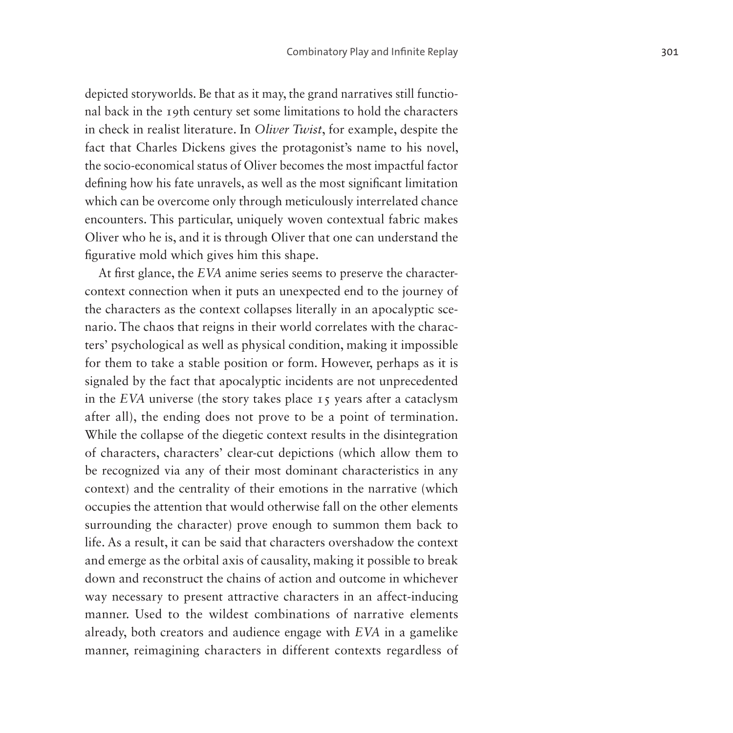depicted storyworlds. Be that as it may, the grand narratives still functional back in the 19th century set some limitations to hold the characters in check in realist literature. In *Oliver Twist*, for example, despite the fact that Charles Dickens gives the protagonist's name to his novel, the socio-economical status of Oliver becomes the most impactful factor defining how his fate unravels, as well as the most significant limitation which can be overcome only through meticulously interrelated chance encounters. This particular, uniquely woven contextual fabric makes Oliver who he is, and it is through Oliver that one can understand the figurative mold which gives him this shape.

At first glance, the *EVA* anime series seems to preserve the charactercontext connection when it puts an unexpected end to the journey of the characters as the context collapses literally in an apocalyptic scenario. The chaos that reigns in their world correlates with the characters' psychological as well as physical condition, making it impossible for them to take a stable position or form. However, perhaps as it is signaled by the fact that apocalyptic incidents are not unprecedented in the *EVA* universe (the story takes place 15 years after a cataclysm after all), the ending does not prove to be a point of termination. While the collapse of the diegetic context results in the disintegration of characters, characters' clear-cut depictions (which allow them to be recognized via any of their most dominant characteristics in any context) and the centrality of their emotions in the narrative (which occupies the attention that would otherwise fall on the other elements surrounding the character) prove enough to summon them back to life. As a result, it can be said that characters overshadow the context and emerge as the orbital axis of causality, making it possible to break down and reconstruct the chains of action and outcome in whichever way necessary to present attractive characters in an affect-inducing manner. Used to the wildest combinations of narrative elements already, both creators and audience engage with *EVA* in a gamelike manner, reimagining characters in different contexts regardless of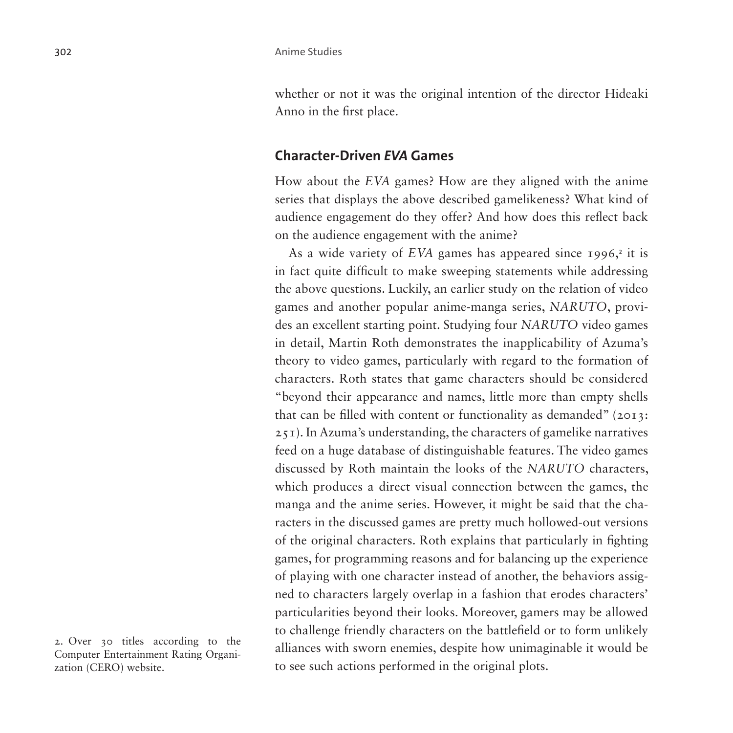whether or not it was the original intention of the director Hideaki Anno in the first place.

#### **Character-Driven** *EVA* **Games**

How about the *EVA* games? How are they aligned with the anime series that displays the above described gamelikeness? What kind of audience engagement do they offer? And how does this reflect back on the audience engagement with the anime?

As a wide variety of EVA games has appeared since 1996,<sup>[2](#page-5-0)</sup> it is in fact quite difficult to make sweeping statements while addressing the above questions. Luckily, an earlier study on the relation of video games and another popular anime-manga series, *NARUTO*, provides an excellent starting point. Studying four *NARUTO* video games in detail, Martin Roth demonstrates the inapplicability of Azuma's theory to video games, particularly with regard to the formation of characters. Roth states that game characters should be considered "beyond their appearance and names, little more than empty shells that can be filled with content or functionality as demanded" (2013: 251). In Azuma's understanding, the characters of gamelike narratives feed on a huge database of distinguishable features. The video games discussed by Roth maintain the looks of the *NARUTO* characters, which produces a direct visual connection between the games, the manga and the anime series. However, it might be said that the characters in the discussed games are pretty much hollowed-out versions of the original characters. Roth explains that particularly in fighting games, for programming reasons and for balancing up the experience of playing with one character instead of another, the behaviors assigned to characters largely overlap in a fashion that erodes characters' particularities beyond their looks. Moreover, gamers may be allowed to challenge friendly characters on the battlefield or to form unlikely alliances with sworn enemies, despite how unimaginable it would be to see such actions performed in the original plots.

<span id="page-5-0"></span><sup>2.</sup> Over 30 titles according to the Computer Entertainment Rating Organization (CERO) website.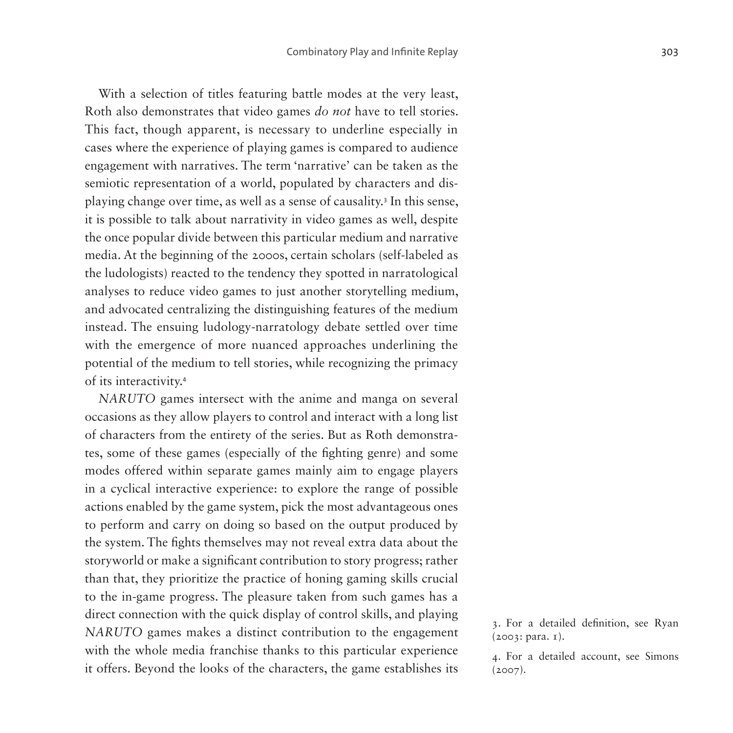With a selection of titles featuring battle modes at the very least, Roth also demonstrates that video games *do not* have to tell stories. This fact, though apparent, is necessary to underline especially in cases where the experience of playing games is compared to audience engagement with narratives. The term 'narrative' can be taken as the semiotic representation of a world, populated by characters and displaying change over time, as well as a sense of causality.[3](#page-6-0) In this sense, it is possible to talk about narrativity in video games as well, despite the once popular divide between this particular medium and narrative media. At the beginning of the 2000s, certain scholars (self-labeled as the ludologists) reacted to the tendency they spotted in narratological analyses to reduce video games to just another storytelling medium, and advocated centralizing the distinguishing features of the medium instead. The ensuing ludology-narratology debate settled over time with the emergence of more nuanced approaches underlining the potential of the medium to tell stories, while recognizing the primacy of its interactivity.[4](#page-6-1)

*NARUTO* games intersect with the anime and manga on several occasions as they allow players to control and interact with a long list of characters from the entirety of the series. But as Roth demonstrates, some of these games (especially of the fighting genre) and some modes offered within separate games mainly aim to engage players in a cyclical interactive experience: to explore the range of possible actions enabled by the game system, pick the most advantageous ones to perform and carry on doing so based on the output produced by the system. The fights themselves may not reveal extra data about the storyworld or make a significant contribution to story progress; rather than that, they prioritize the practice of honing gaming skills crucial to the in-game progress. The pleasure taken from such games has a direct connection with the quick display of control skills, and playing *NARUTO* games makes a distinct contribution to the engagement with the whole media franchise thanks to this particular experience it offers. Beyond the looks of the characters, the game establishes its

<span id="page-6-0"></span><sup>3.</sup> For a detailed definition, see Ryan (2003: para. 1).

<span id="page-6-1"></span><sup>4.</sup> For a detailed account, see Simons (2007).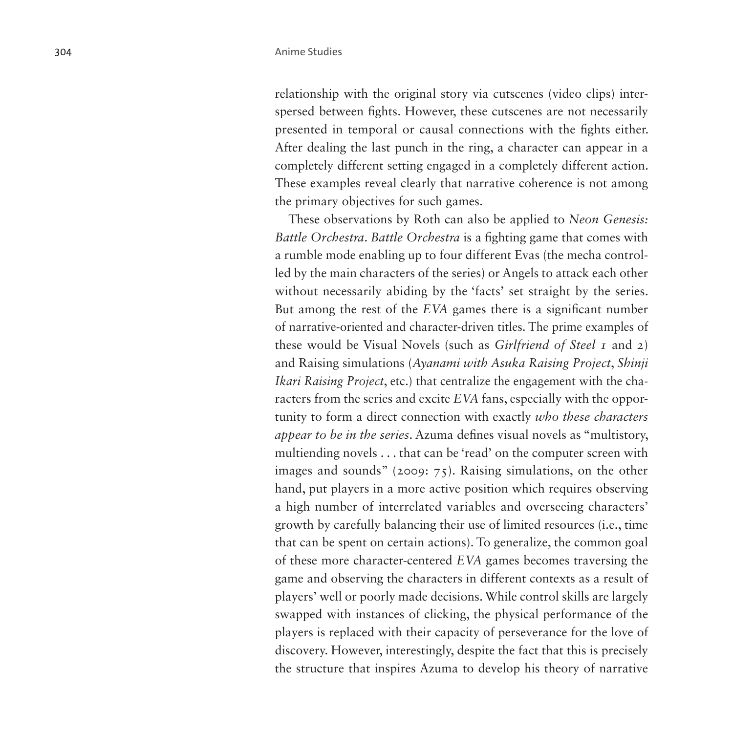relationship with the original story via cutscenes (video clips) interspersed between fights. However, these cutscenes are not necessarily presented in temporal or causal connections with the fights either. After dealing the last punch in the ring, a character can appear in a completely different setting engaged in a completely different action. These examples reveal clearly that narrative coherence is not among the primary objectives for such games.

These observations by Roth can also be applied to *Neon Genesis: Battle Orchestra*. *Battle Orchestra* is a fighting game that comes with a rumble mode enabling up to four different Evas (the mecha controlled by the main characters of the series) or Angels to attack each other without necessarily abiding by the 'facts' set straight by the series. But among the rest of the *EVA* games there is a significant number of narrative-oriented and character-driven titles. The prime examples of these would be Visual Novels (such as *Girlfriend of Steel 1* and *2*) and Raising simulations (*Ayanami with Asuka Raising Project*, *Shinji Ikari Raising Project*, etc.) that centralize the engagement with the characters from the series and excite *EVA* fans, especially with the opportunity to form a direct connection with exactly *who these characters appear to be in the series*. Azuma defines visual novels as "multistory, multiending novels . . . that can be 'read' on the computer screen with images and sounds" (2009: 75). Raising simulations, on the other hand, put players in a more active position which requires observing a high number of interrelated variables and overseeing characters' growth by carefully balancing their use of limited resources (i.e., time that can be spent on certain actions). To generalize, the common goal of these more character-centered *EVA* games becomes traversing the game and observing the characters in different contexts as a result of players' well or poorly made decisions. While control skills are largely swapped with instances of clicking, the physical performance of the players is replaced with their capacity of perseverance for the love of discovery. However, interestingly, despite the fact that this is precisely the structure that inspires Azuma to develop his theory of narrative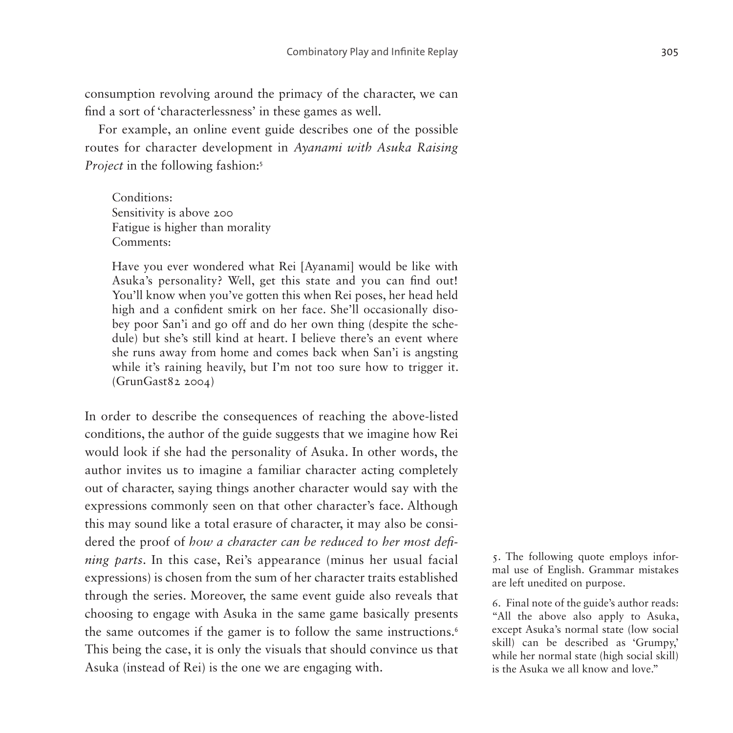consumption revolving around the primacy of the character, we can find a sort of 'characterlessness' in these games as well.

For example, an online event guide describes one of the possible routes for character development in *Ayanami with Asuka Raising Project* in the following fashion:<sup>[5](#page-8-0)</sup>

Conditions: Sensitivity is above 200 Fatigue is higher than morality Comments:

Have you ever wondered what Rei [Ayanami] would be like with Asuka's personality? Well, get this state and you can find out! You'll know when you've gotten this when Rei poses, her head held high and a confident smirk on her face. She'll occasionally disobey poor San'i and go off and do her own thing (despite the schedule) but she's still kind at heart. I believe there's an event where she runs away from home and comes back when San'i is angsting while it's raining heavily, but I'm not too sure how to trigger it. (GrunGast82 2004)

In order to describe the consequences of reaching the above-listed conditions, the author of the guide suggests that we imagine how Rei would look if she had the personality of Asuka. In other words, the author invites us to imagine a familiar character acting completely out of character, saying things another character would say with the expressions commonly seen on that other character's face. Although this may sound like a total erasure of character, it may also be considered the proof of *how a character can be reduced to her most defining parts*. In this case, Rei's appearance (minus her usual facial expressions) is chosen from the sum of her character traits established through the series. Moreover, the same event guide also reveals that choosing to engage with Asuka in the same game basically presents the same outcomes if the gamer is to follow the same instructions.<sup>[6](#page-8-1)</sup> This being the case, it is only the visuals that should convince us that Asuka (instead of Rei) is the one we are engaging with.

<span id="page-8-0"></span>5. The following quote employs informal use of English. Grammar mistakes are left unedited on purpose.

<span id="page-8-1"></span>6. Final note of the guide's author reads: "All the above also apply to Asuka, except Asuka's normal state (low social skill) can be described as 'Grumpy,' while her normal state (high social skill) is the Asuka we all know and love."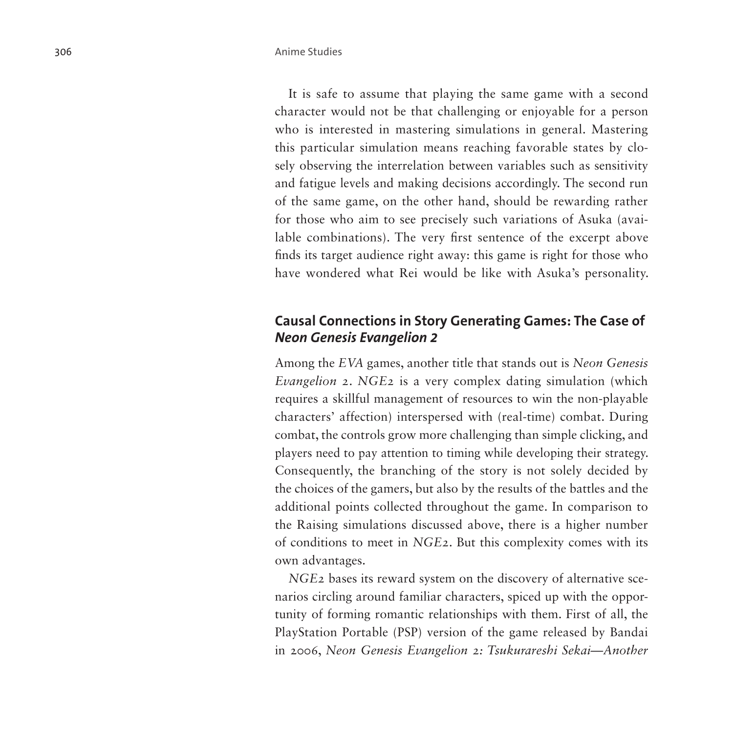It is safe to assume that playing the same game with a second character would not be that challenging or enjoyable for a person who is interested in mastering simulations in general. Mastering this particular simulation means reaching favorable states by closely observing the interrelation between variables such as sensitivity and fatigue levels and making decisions accordingly. The second run of the same game, on the other hand, should be rewarding rather for those who aim to see precisely such variations of Asuka (available combinations). The very first sentence of the excerpt above finds its target audience right away: this game is right for those who have wondered what Rei would be like with Asuka's personality.

## **Causal Connections in Story Generating Games: The Case of**  *Neon Genesis Evangelion 2*

Among the *EVA* games, another title that stands out is *Neon Genesis Evangelion 2*. *NGE2* is a very complex dating simulation (which requires a skillful management of resources to win the non-playable characters' affection) interspersed with (real-time) combat. During combat, the controls grow more challenging than simple clicking, and players need to pay attention to timing while developing their strategy. Consequently, the branching of the story is not solely decided by the choices of the gamers, but also by the results of the battles and the additional points collected throughout the game. In comparison to the Raising simulations discussed above, there is a higher number of conditions to meet in *NGE2*. But this complexity comes with its own advantages.

*NGE2* bases its reward system on the discovery of alternative scenarios circling around familiar characters, spiced up with the opportunity of forming romantic relationships with them. First of all, the PlayStation Portable (PSP) version of the game released by Bandai in 2006, *Neon Genesis Evangelion 2: Tsukurareshi Sekai—Another*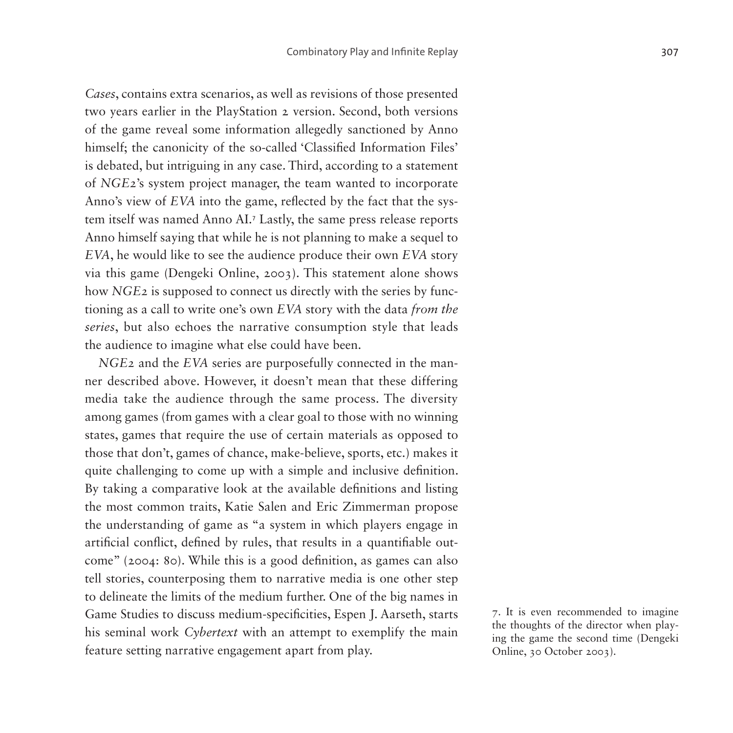*Cases*, contains extra scenarios, as well as revisions of those presented two years earlier in the PlayStation 2 version. Second, both versions of the game reveal some information allegedly sanctioned by Anno himself; the canonicity of the so-called 'Classified Information Files' is debated, but intriguing in any case. Third, according to a statement of *NGE2*'s system project manager, the team wanted to incorporate Anno's view of *EVA* into the game, reflected by the fact that the system itself was named Anno AI.[7](#page-10-0) Lastly, the same press release reports Anno himself saying that while he is not planning to make a sequel to *EVA*, he would like to see the audience produce their own *EVA* story via this game (Dengeki Online, 2003). This statement alone shows how *NGE2* is supposed to connect us directly with the series by functioning as a call to write one's own *EVA* story with the data *from the series*, but also echoes the narrative consumption style that leads the audience to imagine what else could have been.

*NGE2* and the *EVA* series are purposefully connected in the manner described above. However, it doesn't mean that these differing media take the audience through the same process. The diversity among games (from games with a clear goal to those with no winning states, games that require the use of certain materials as opposed to those that don't, games of chance, make-believe, sports, etc.) makes it quite challenging to come up with a simple and inclusive definition. By taking a comparative look at the available definitions and listing the most common traits, Katie Salen and Eric Zimmerman propose the understanding of game as "a system in which players engage in artificial conflict, defined by rules, that results in a quantifiable outcome" (2004: 80). While this is a good definition, as games can also tell stories, counterposing them to narrative media is one other step to delineate the limits of the medium further. One of the big names in Game Studies to discuss medium-specificities, Espen J. Aarseth, starts his seminal work *Cybertext* with an attempt to exemplify the main feature setting narrative engagement apart from play.

<span id="page-10-0"></span>7. It is even recommended to imagine the thoughts of the director when playing the game the second time (Dengeki Online, 30 October 2003).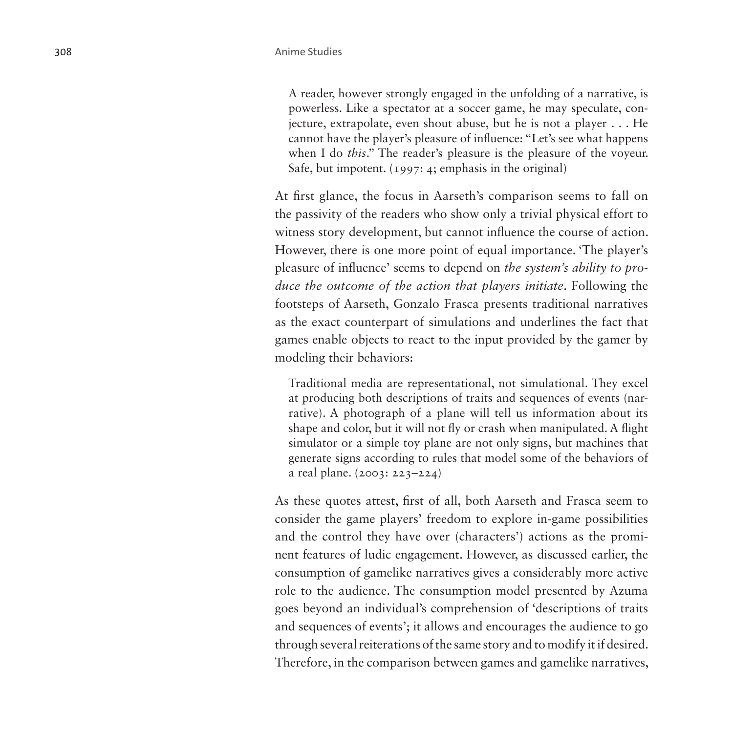A reader, however strongly engaged in the unfolding of a narrative, is powerless. Like a spectator at a soccer game, he may speculate, conjecture, extrapolate, even shout abuse, but he is not a player . . . He cannot have the player's pleasure of influence: "Let's see what happens when I do *this*." The reader's pleasure is the pleasure of the voyeur. Safe, but impotent. (1997: 4; emphasis in the original)

At first glance, the focus in Aarseth's comparison seems to fall on the passivity of the readers who show only a trivial physical effort to witness story development, but cannot influence the course of action. However, there is one more point of equal importance. 'The player's pleasure of influence' seems to depend on *the system's ability to produce the outcome of the action that players initiate*. Following the footsteps of Aarseth, Gonzalo Frasca presents traditional narratives as the exact counterpart of simulations and underlines the fact that games enable objects to react to the input provided by the gamer by modeling their behaviors:

Traditional media are representational, not simulational. They excel at producing both descriptions of traits and sequences of events (narrative). A photograph of a plane will tell us information about its shape and color, but it will not fly or crash when manipulated. A flight simulator or a simple toy plane are not only signs, but machines that generate signs according to rules that model some of the behaviors of a real plane. (2003: 223–224)

As these quotes attest, first of all, both Aarseth and Frasca seem to consider the game players' freedom to explore in-game possibilities and the control they have over (characters') actions as the prominent features of ludic engagement. However, as discussed earlier, the consumption of gamelike narratives gives a considerably more active role to the audience. The consumption model presented by Azuma goes beyond an individual's comprehension of 'descriptions of traits and sequences of events'; it allows and encourages the audience to go through several reiterations of the same story and to modify it if desired. Therefore, in the comparison between games and gamelike narratives,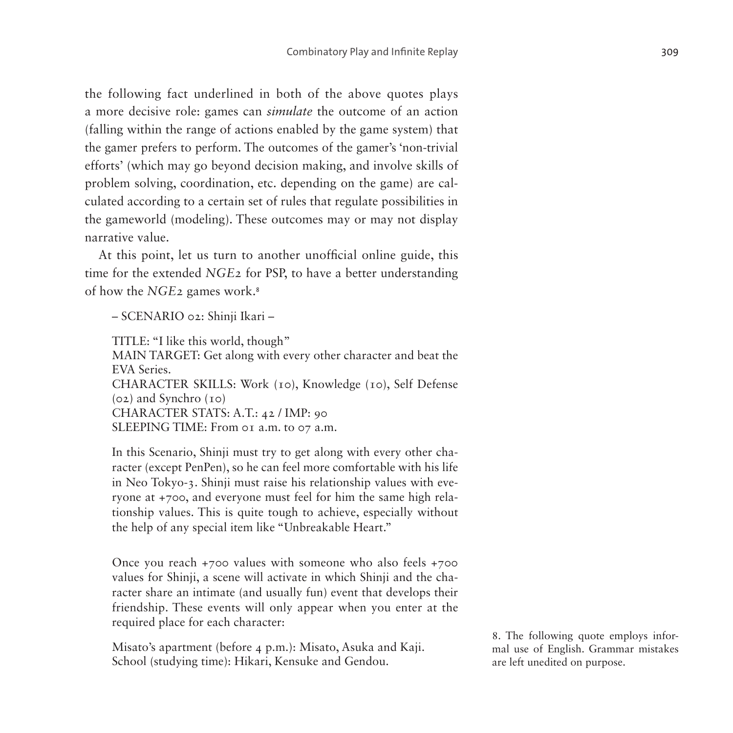the following fact underlined in both of the above quotes plays a more decisive role: games can *simulate* the outcome of an action (falling within the range of actions enabled by the game system) that the gamer prefers to perform. The outcomes of the gamer's 'non-trivial efforts' (which may go beyond decision making, and involve skills of problem solving, coordination, etc. depending on the game) are calculated according to a certain set of rules that regulate possibilities in the gameworld (modeling). These outcomes may or may not display narrative value.

At this point, let us turn to another unofficial online guide, this time for the extended *NGE2* for PSP, to have a better understanding of how the *NGE2* games work.[8](#page-12-0)

– SCENARIO 02: Shinji Ikari –

TITLE: "I like this world, though" MAIN TARGET: Get along with every other character and beat the EVA Series. CHARACTER SKILLS: Work (10), Knowledge (10), Self Defense (02) and Synchro (10) CHARACTER STATS: A.T.: 42 / IMP: 90 SLEEPING TIME: From 01 a.m. to 07 a.m.

In this Scenario, Shinji must try to get along with every other character (except PenPen), so he can feel more comfortable with his life in Neo Tokyo-3. Shinji must raise his relationship values with everyone at +700, and everyone must feel for him the same high relationship values. This is quite tough to achieve, especially without the help of any special item like "Unbreakable Heart."

Once you reach +700 values with someone who also feels +700 values for Shinji, a scene will activate in which Shinji and the character share an intimate (and usually fun) event that develops their friendship. These events will only appear when you enter at the required place for each character:

Misato's apartment (before 4 p.m.): Misato, Asuka and Kaji. School (studying time): Hikari, Kensuke and Gendou.

<span id="page-12-0"></span>8. The following quote employs informal use of English. Grammar mistakes are left unedited on purpose.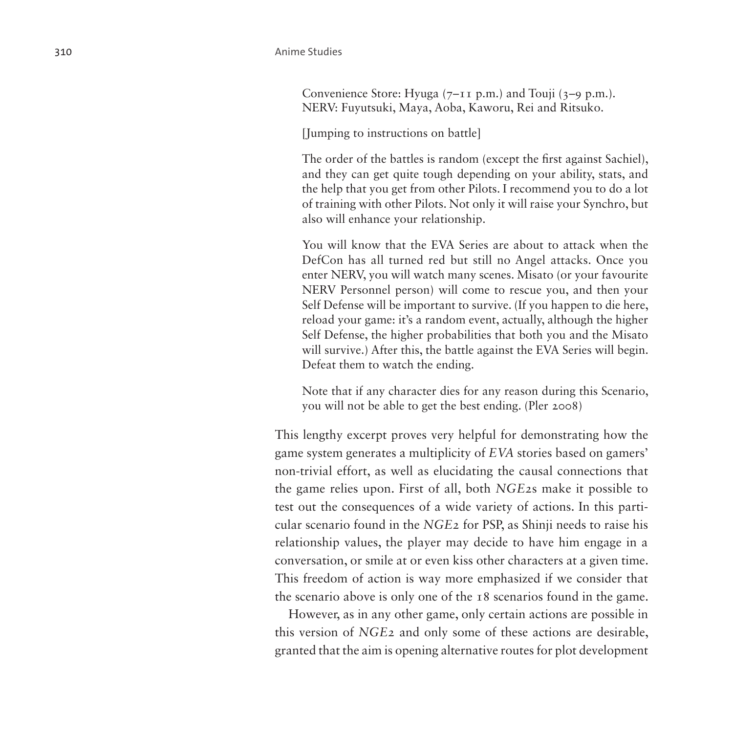Convenience Store: Hyuga  $(7-I<sub>I</sub> p.m.)$  and Touji  $(3-9 p.m.).$ NERV: Fuyutsuki, Maya, Aoba, Kaworu, Rei and Ritsuko.

[Jumping to instructions on battle]

The order of the battles is random (except the first against Sachiel), and they can get quite tough depending on your ability, stats, and the help that you get from other Pilots. I recommend you to do a lot of training with other Pilots. Not only it will raise your Synchro, but also will enhance your relationship.

You will know that the EVA Series are about to attack when the DefCon has all turned red but still no Angel attacks. Once you enter NERV, you will watch many scenes. Misato (or your favourite NERV Personnel person) will come to rescue you, and then your Self Defense will be important to survive. (If you happen to die here, reload your game: it's a random event, actually, although the higher Self Defense, the higher probabilities that both you and the Misato will survive.) After this, the battle against the EVA Series will begin. Defeat them to watch the ending.

Note that if any character dies for any reason during this Scenario, you will not be able to get the best ending. (Pler 2008)

This lengthy excerpt proves very helpful for demonstrating how the game system generates a multiplicity of *EVA* stories based on gamers' non-trivial effort, as well as elucidating the causal connections that the game relies upon. First of all, both *NGE2*s make it possible to test out the consequences of a wide variety of actions. In this particular scenario found in the *NGE2* for PSP, as Shinji needs to raise his relationship values, the player may decide to have him engage in a conversation, or smile at or even kiss other characters at a given time. This freedom of action is way more emphasized if we consider that the scenario above is only one of the 18 scenarios found in the game.

However, as in any other game, only certain actions are possible in this version of *NGE2* and only some of these actions are desirable, granted that the aim is opening alternative routes for plot development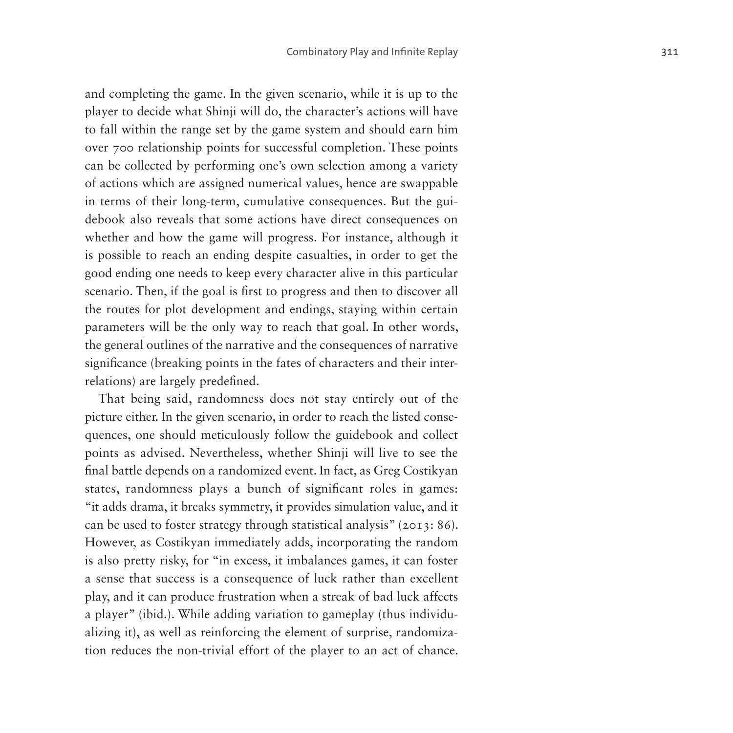and completing the game. In the given scenario, while it is up to the player to decide what Shinji will do, the character's actions will have to fall within the range set by the game system and should earn him over 700 relationship points for successful completion. These points can be collected by performing one's own selection among a variety of actions which are assigned numerical values, hence are swappable in terms of their long-term, cumulative consequences. But the guidebook also reveals that some actions have direct consequences on whether and how the game will progress. For instance, although it is possible to reach an ending despite casualties, in order to get the good ending one needs to keep every character alive in this particular scenario. Then, if the goal is first to progress and then to discover all the routes for plot development and endings, staying within certain parameters will be the only way to reach that goal. In other words, the general outlines of the narrative and the consequences of narrative significance (breaking points in the fates of characters and their interrelations) are largely predefined.

That being said, randomness does not stay entirely out of the picture either. In the given scenario, in order to reach the listed consequences, one should meticulously follow the guidebook and collect points as advised. Nevertheless, whether Shinji will live to see the final battle depends on a randomized event. In fact, as Greg Costikyan states, randomness plays a bunch of significant roles in games: "it adds drama, it breaks symmetry, it provides simulation value, and it can be used to foster strategy through statistical analysis" (2013: 86). However, as Costikyan immediately adds, incorporating the random is also pretty risky, for "in excess, it imbalances games, it can foster a sense that success is a consequence of luck rather than excellent play, and it can produce frustration when a streak of bad luck affects a player" (ibid.). While adding variation to gameplay (thus individualizing it), as well as reinforcing the element of surprise, randomization reduces the non-trivial effort of the player to an act of chance.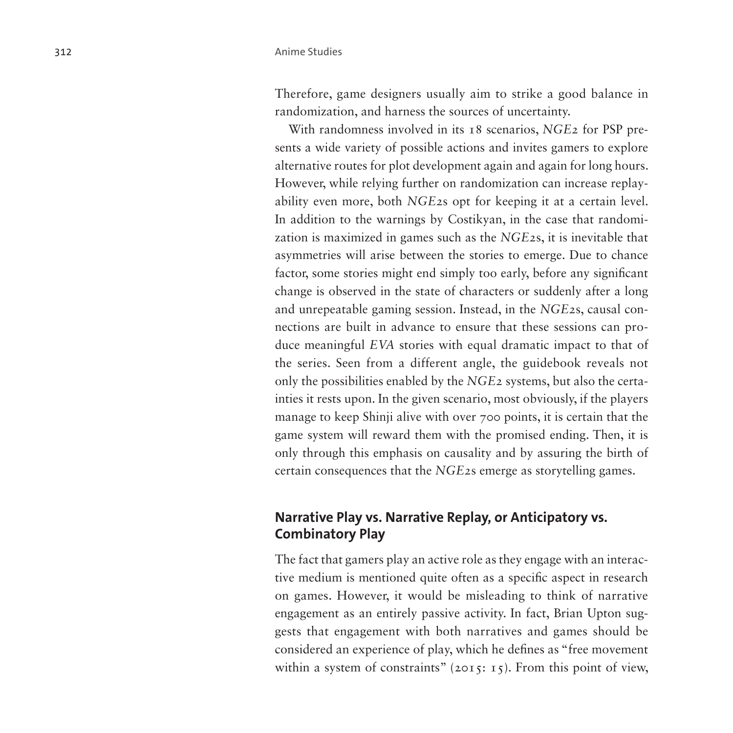Therefore, game designers usually aim to strike a good balance in randomization, and harness the sources of uncertainty.

With randomness involved in its 18 scenarios, *NGE2* for PSP presents a wide variety of possible actions and invites gamers to explore alternative routes for plot development again and again for long hours. However, while relying further on randomization can increase replayability even more, both *NGE2*s opt for keeping it at a certain level. In addition to the warnings by Costikyan, in the case that randomization is maximized in games such as the *NGE2*s, it is inevitable that asymmetries will arise between the stories to emerge. Due to chance factor, some stories might end simply too early, before any significant change is observed in the state of characters or suddenly after a long and unrepeatable gaming session. Instead, in the *NGE2*s, causal connections are built in advance to ensure that these sessions can produce meaningful *EVA* stories with equal dramatic impact to that of the series. Seen from a different angle, the guidebook reveals not only the possibilities enabled by the *NGE2* systems, but also the certainties it rests upon. In the given scenario, most obviously, if the players manage to keep Shinji alive with over 700 points, it is certain that the game system will reward them with the promised ending. Then, it is only through this emphasis on causality and by assuring the birth of certain consequences that the *NGE2*s emerge as storytelling games.

## **Narrative Play vs. Narrative Replay, or Anticipatory vs. Combinatory Play**

The fact that gamers play an active role as they engage with an interactive medium is mentioned quite often as a specific aspect in research on games. However, it would be misleading to think of narrative engagement as an entirely passive activity. In fact, Brian Upton suggests that engagement with both narratives and games should be considered an experience of play, which he defines as "free movement within a system of constraints" (2015: 15). From this point of view,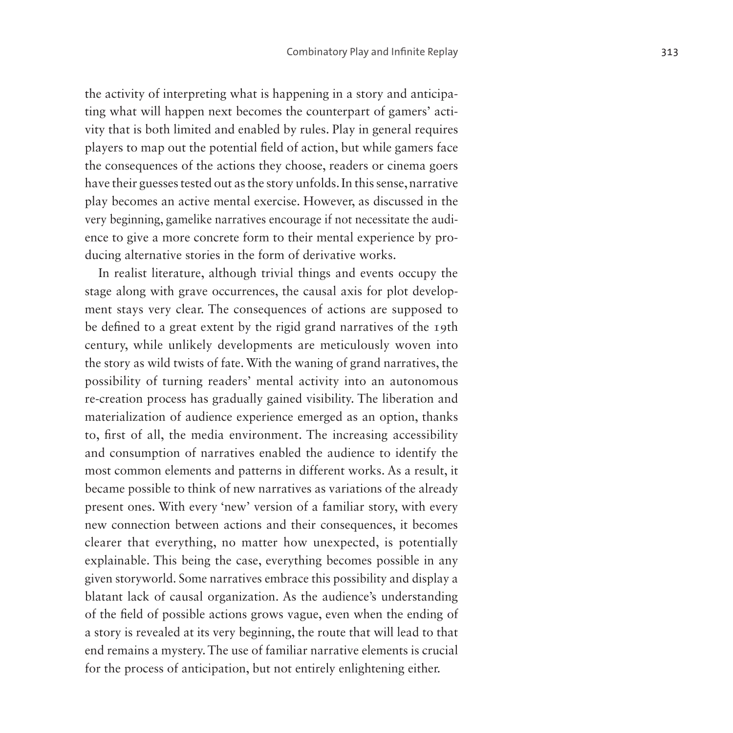the activity of interpreting what is happening in a story and anticipating what will happen next becomes the counterpart of gamers' activity that is both limited and enabled by rules. Play in general requires players to map out the potential field of action, but while gamers face the consequences of the actions they choose, readers or cinema goers have their guesses tested out as the story unfolds. In this sense, narrative play becomes an active mental exercise. However, as discussed in the very beginning, gamelike narratives encourage if not necessitate the audience to give a more concrete form to their mental experience by producing alternative stories in the form of derivative works.

In realist literature, although trivial things and events occupy the stage along with grave occurrences, the causal axis for plot development stays very clear. The consequences of actions are supposed to be defined to a great extent by the rigid grand narratives of the 19th century, while unlikely developments are meticulously woven into the story as wild twists of fate. With the waning of grand narratives, the possibility of turning readers' mental activity into an autonomous re-creation process has gradually gained visibility. The liberation and materialization of audience experience emerged as an option, thanks to, first of all, the media environment. The increasing accessibility and consumption of narratives enabled the audience to identify the most common elements and patterns in different works. As a result, it became possible to think of new narratives as variations of the already present ones. With every 'new' version of a familiar story, with every new connection between actions and their consequences, it becomes clearer that everything, no matter how unexpected, is potentially explainable. This being the case, everything becomes possible in any given storyworld. Some narratives embrace this possibility and display a blatant lack of causal organization. As the audience's understanding of the field of possible actions grows vague, even when the ending of a story is revealed at its very beginning, the route that will lead to that end remains a mystery. The use of familiar narrative elements is crucial for the process of anticipation, but not entirely enlightening either.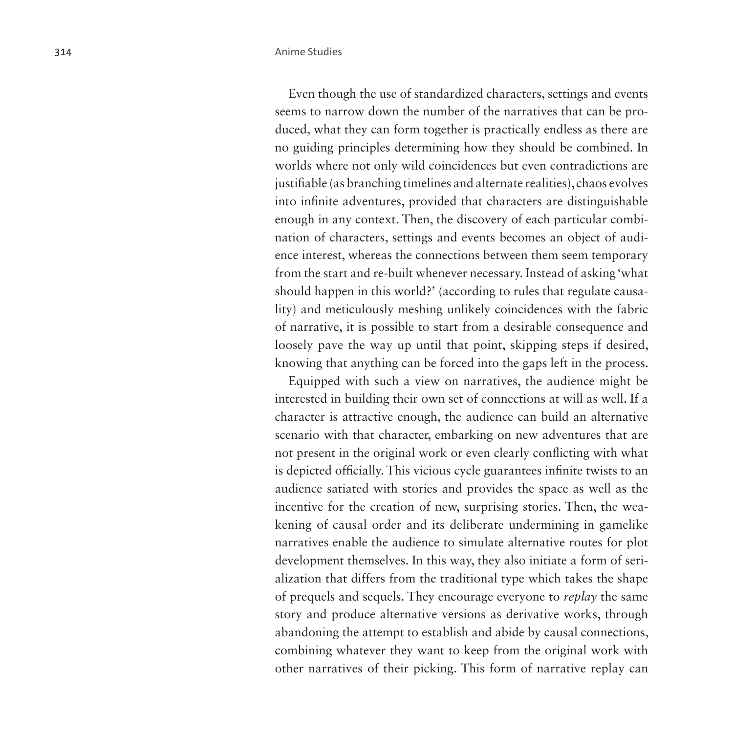Even though the use of standardized characters, settings and events seems to narrow down the number of the narratives that can be produced, what they can form together is practically endless as there are no guiding principles determining how they should be combined. In worlds where not only wild coincidences but even contradictions are justifiable (as branching timelines and alternate realities), chaos evolves into infinite adventures, provided that characters are distinguishable enough in any context. Then, the discovery of each particular combination of characters, settings and events becomes an object of audience interest, whereas the connections between them seem temporary from the start and re-built whenever necessary. Instead of asking 'what should happen in this world?' (according to rules that regulate causality) and meticulously meshing unlikely coincidences with the fabric of narrative, it is possible to start from a desirable consequence and loosely pave the way up until that point, skipping steps if desired, knowing that anything can be forced into the gaps left in the process.

Equipped with such a view on narratives, the audience might be interested in building their own set of connections at will as well. If a character is attractive enough, the audience can build an alternative scenario with that character, embarking on new adventures that are not present in the original work or even clearly conflicting with what is depicted officially. This vicious cycle guarantees infinite twists to an audience satiated with stories and provides the space as well as the incentive for the creation of new, surprising stories. Then, the weakening of causal order and its deliberate undermining in gamelike narratives enable the audience to simulate alternative routes for plot development themselves. In this way, they also initiate a form of serialization that differs from the traditional type which takes the shape of prequels and sequels. They encourage everyone to *replay* the same story and produce alternative versions as derivative works, through abandoning the attempt to establish and abide by causal connections, combining whatever they want to keep from the original work with other narratives of their picking. This form of narrative replay can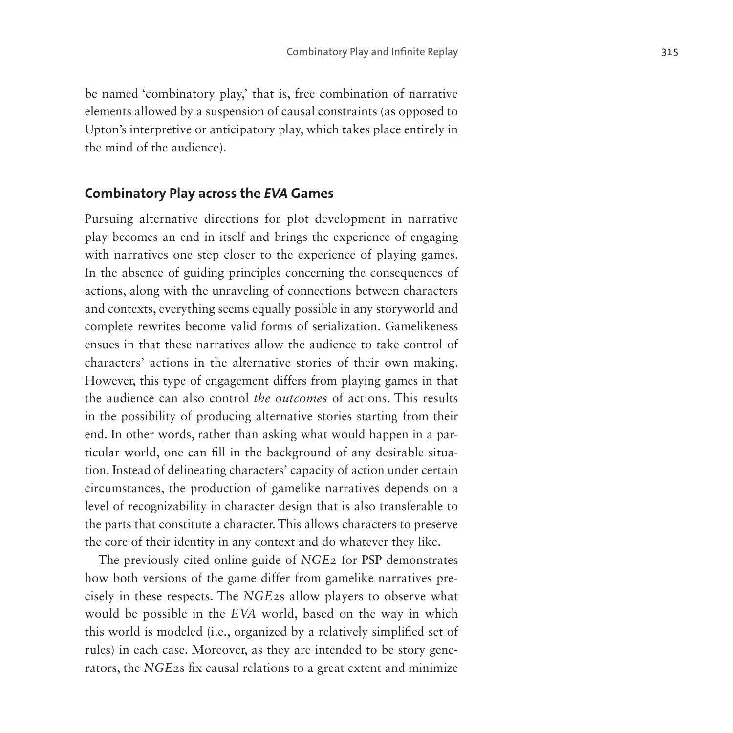be named 'combinatory play,' that is, free combination of narrative elements allowed by a suspension of causal constraints (as opposed to Upton's interpretive or anticipatory play, which takes place entirely in the mind of the audience).

### **Combinatory Play across the** *EVA* **Games**

Pursuing alternative directions for plot development in narrative play becomes an end in itself and brings the experience of engaging with narratives one step closer to the experience of playing games. In the absence of guiding principles concerning the consequences of actions, along with the unraveling of connections between characters and contexts, everything seems equally possible in any storyworld and complete rewrites become valid forms of serialization. Gamelikeness ensues in that these narratives allow the audience to take control of characters' actions in the alternative stories of their own making. However, this type of engagement differs from playing games in that the audience can also control *the outcomes* of actions. This results in the possibility of producing alternative stories starting from their end. In other words, rather than asking what would happen in a particular world, one can fill in the background of any desirable situation. Instead of delineating characters' capacity of action under certain circumstances, the production of gamelike narratives depends on a level of recognizability in character design that is also transferable to the parts that constitute a character. This allows characters to preserve the core of their identity in any context and do whatever they like.

The previously cited online guide of *NGE2* for PSP demonstrates how both versions of the game differ from gamelike narratives precisely in these respects. The *NGE2*s allow players to observe what would be possible in the *EVA* world, based on the way in which this world is modeled (i.e., organized by a relatively simplified set of rules) in each case. Moreover, as they are intended to be story generators, the *NGE2*s fix causal relations to a great extent and minimize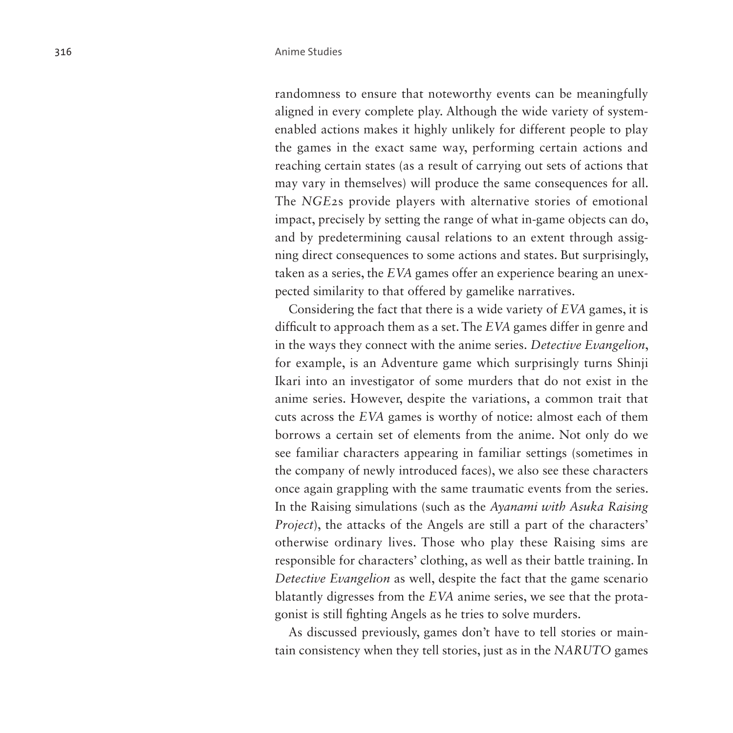randomness to ensure that noteworthy events can be meaningfully aligned in every complete play. Although the wide variety of systemenabled actions makes it highly unlikely for different people to play the games in the exact same way, performing certain actions and reaching certain states (as a result of carrying out sets of actions that may vary in themselves) will produce the same consequences for all. The *NGE2*s provide players with alternative stories of emotional impact, precisely by setting the range of what in-game objects can do, and by predetermining causal relations to an extent through assigning direct consequences to some actions and states. But surprisingly, taken as a series, the *EVA* games offer an experience bearing an unexpected similarity to that offered by gamelike narratives.

Considering the fact that there is a wide variety of *EVA* games, it is difficult to approach them as a set. The *EVA* games differ in genre and in the ways they connect with the anime series. *Detective Evangelion*, for example, is an Adventure game which surprisingly turns Shinji Ikari into an investigator of some murders that do not exist in the anime series. However, despite the variations, a common trait that cuts across the *EVA* games is worthy of notice: almost each of them borrows a certain set of elements from the anime. Not only do we see familiar characters appearing in familiar settings (sometimes in the company of newly introduced faces), we also see these characters once again grappling with the same traumatic events from the series. In the Raising simulations (such as the *Ayanami with Asuka Raising Project*), the attacks of the Angels are still a part of the characters' otherwise ordinary lives. Those who play these Raising sims are responsible for characters' clothing, as well as their battle training. In *Detective Evangelion* as well, despite the fact that the game scenario blatantly digresses from the *EVA* anime series, we see that the protagonist is still fighting Angels as he tries to solve murders.

As discussed previously, games don't have to tell stories or maintain consistency when they tell stories, just as in the *NARUTO* games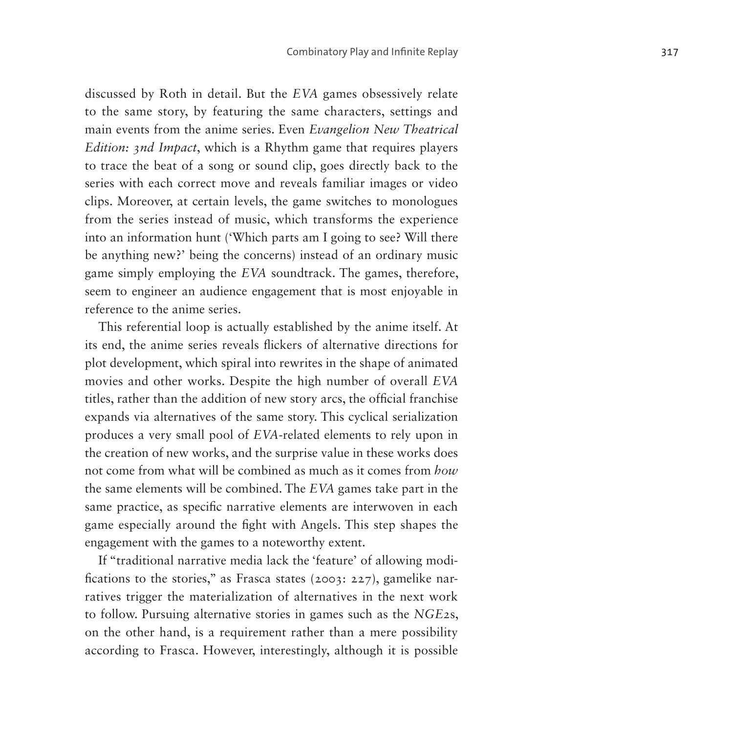discussed by Roth in detail. But the *EVA* games obsessively relate to the same story, by featuring the same characters, settings and main events from the anime series. Even *Evangelion New Theatrical Edition: 3nd Impact*, which is a Rhythm game that requires players to trace the beat of a song or sound clip, goes directly back to the series with each correct move and reveals familiar images or video clips. Moreover, at certain levels, the game switches to monologues from the series instead of music, which transforms the experience into an information hunt ('Which parts am I going to see? Will there be anything new?' being the concerns) instead of an ordinary music game simply employing the *EVA* soundtrack. The games, therefore, seem to engineer an audience engagement that is most enjoyable in reference to the anime series.

This referential loop is actually established by the anime itself. At its end, the anime series reveals flickers of alternative directions for plot development, which spiral into rewrites in the shape of animated movies and other works. Despite the high number of overall *EVA* titles, rather than the addition of new story arcs, the official franchise expands via alternatives of the same story. This cyclical serialization produces a very small pool of *EVA-*related elements to rely upon in the creation of new works, and the surprise value in these works does not come from what will be combined as much as it comes from *how* the same elements will be combined. The *EVA* games take part in the same practice, as specific narrative elements are interwoven in each game especially around the fight with Angels. This step shapes the engagement with the games to a noteworthy extent.

If "traditional narrative media lack the 'feature' of allowing modifications to the stories," as Frasca states (2003: 227), gamelike narratives trigger the materialization of alternatives in the next work to follow. Pursuing alternative stories in games such as the *NGE2*s, on the other hand, is a requirement rather than a mere possibility according to Frasca. However, interestingly, although it is possible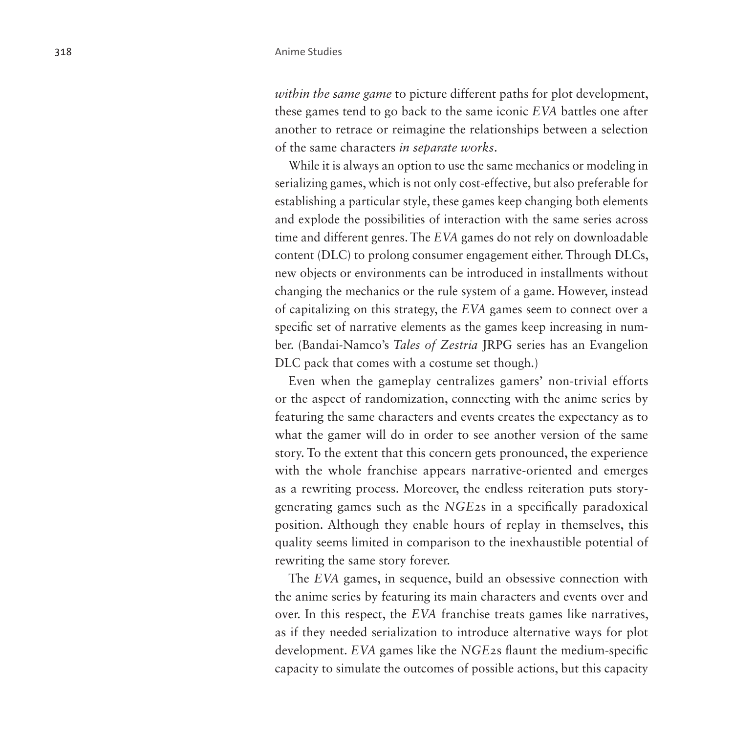*within the same game* to picture different paths for plot development, these games tend to go back to the same iconic *EVA* battles one after another to retrace or reimagine the relationships between a selection of the same characters *in separate works*.

While it is always an option to use the same mechanics or modeling in serializing games, which is not only cost-effective, but also preferable for establishing a particular style, these games keep changing both elements and explode the possibilities of interaction with the same series across time and different genres. The *EVA* games do not rely on downloadable content (DLC) to prolong consumer engagement either. Through DLCs, new objects or environments can be introduced in installments without changing the mechanics or the rule system of a game. However, instead of capitalizing on this strategy, the *EVA* games seem to connect over a specific set of narrative elements as the games keep increasing in number. (Bandai-Namco's *Tales of Zestria* JRPG series has an Evangelion DLC pack that comes with a costume set though.)

Even when the gameplay centralizes gamers' non-trivial efforts or the aspect of randomization, connecting with the anime series by featuring the same characters and events creates the expectancy as to what the gamer will do in order to see another version of the same story. To the extent that this concern gets pronounced, the experience with the whole franchise appears narrative-oriented and emerges as a rewriting process. Moreover, the endless reiteration puts storygenerating games such as the *NGE2*s in a specifically paradoxical position. Although they enable hours of replay in themselves, this quality seems limited in comparison to the inexhaustible potential of rewriting the same story forever.

The *EVA* games, in sequence, build an obsessive connection with the anime series by featuring its main characters and events over and over. In this respect, the *EVA* franchise treats games like narratives, as if they needed serialization to introduce alternative ways for plot development. *EVA* games like the *NGE2*s flaunt the medium-specific capacity to simulate the outcomes of possible actions, but this capacity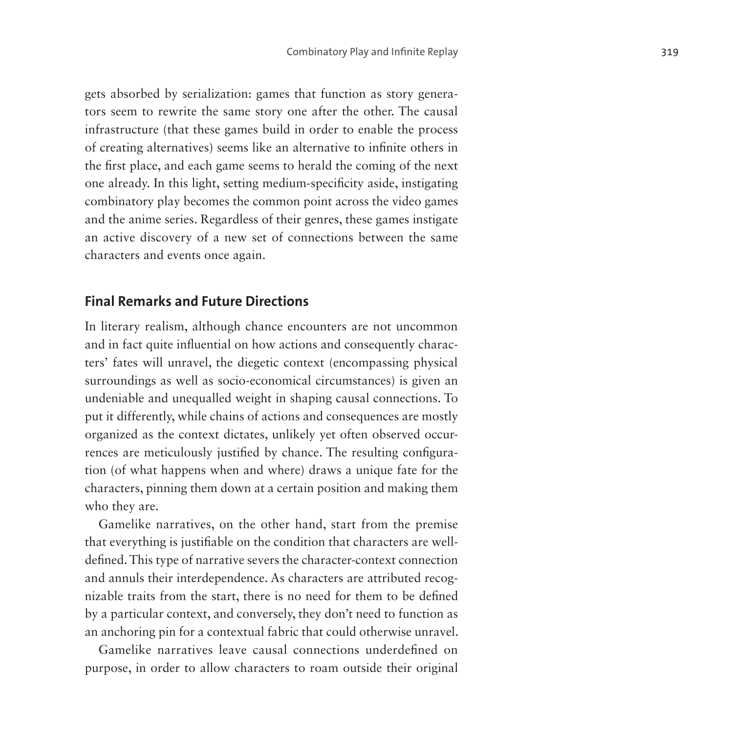gets absorbed by serialization: games that function as story generators seem to rewrite the same story one after the other. The causal infrastructure (that these games build in order to enable the process of creating alternatives) seems like an alternative to infinite others in the first place, and each game seems to herald the coming of the next one already. In this light, setting medium-specificity aside, instigating combinatory play becomes the common point across the video games and the anime series. Regardless of their genres, these games instigate an active discovery of a new set of connections between the same characters and events once again.

### **Final Remarks and Future Directions**

In literary realism, although chance encounters are not uncommon and in fact quite influential on how actions and consequently characters' fates will unravel, the diegetic context (encompassing physical surroundings as well as socio-economical circumstances) is given an undeniable and unequalled weight in shaping causal connections. To put it differently, while chains of actions and consequences are mostly organized as the context dictates, unlikely yet often observed occurrences are meticulously justified by chance. The resulting configuration (of what happens when and where) draws a unique fate for the characters, pinning them down at a certain position and making them who they are.

Gamelike narratives, on the other hand, start from the premise that everything is justifiable on the condition that characters are welldefined. This type of narrative severs the character-context connection and annuls their interdependence. As characters are attributed recognizable traits from the start, there is no need for them to be defined by a particular context, and conversely, they don't need to function as an anchoring pin for a contextual fabric that could otherwise unravel.

Gamelike narratives leave causal connections underdefined on purpose, in order to allow characters to roam outside their original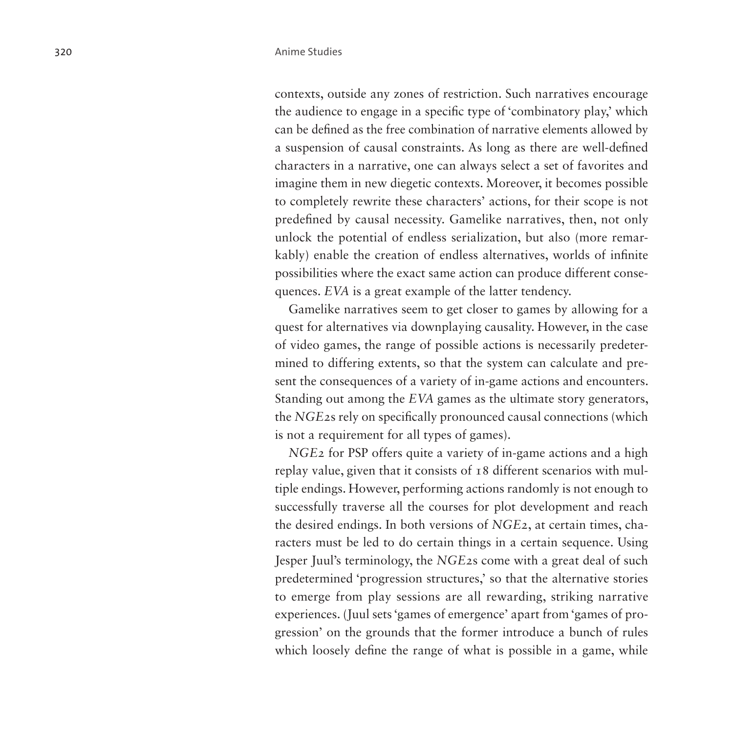contexts, outside any zones of restriction. Such narratives encourage the audience to engage in a specific type of 'combinatory play,' which can be defined as the free combination of narrative elements allowed by a suspension of causal constraints. As long as there are well-defined characters in a narrative, one can always select a set of favorites and imagine them in new diegetic contexts. Moreover, it becomes possible to completely rewrite these characters' actions, for their scope is not predefined by causal necessity. Gamelike narratives, then, not only unlock the potential of endless serialization, but also (more remarkably) enable the creation of endless alternatives, worlds of infinite possibilities where the exact same action can produce different consequences. *EVA* is a great example of the latter tendency.

Gamelike narratives seem to get closer to games by allowing for a quest for alternatives via downplaying causality. However, in the case of video games, the range of possible actions is necessarily predetermined to differing extents, so that the system can calculate and present the consequences of a variety of in-game actions and encounters. Standing out among the *EVA* games as the ultimate story generators, the *NGE2*s rely on specifically pronounced causal connections (which is not a requirement for all types of games).

*NGE2* for PSP offers quite a variety of in-game actions and a high replay value, given that it consists of 18 different scenarios with multiple endings. However, performing actions randomly is not enough to successfully traverse all the courses for plot development and reach the desired endings. In both versions of *NGE2*, at certain times, characters must be led to do certain things in a certain sequence. Using Jesper Juul's terminology, the *NGE2*s come with a great deal of such predetermined 'progression structures,' so that the alternative stories to emerge from play sessions are all rewarding, striking narrative experiences. (Juul sets 'games of emergence' apart from 'games of progression' on the grounds that the former introduce a bunch of rules which loosely define the range of what is possible in a game, while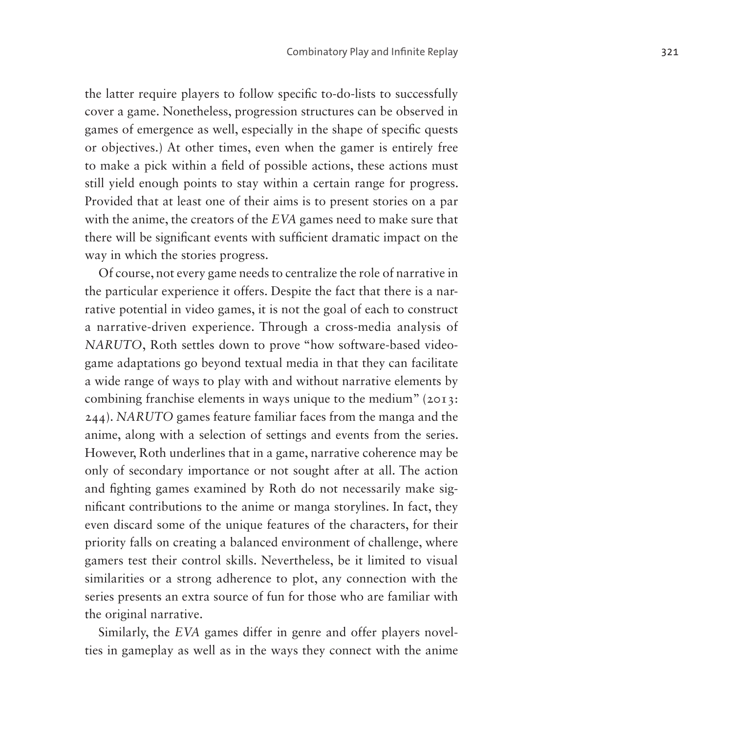the latter require players to follow specific to-do-lists to successfully cover a game. Nonetheless, progression structures can be observed in games of emergence as well, especially in the shape of specific quests or objectives.) At other times, even when the gamer is entirely free to make a pick within a field of possible actions, these actions must still yield enough points to stay within a certain range for progress. Provided that at least one of their aims is to present stories on a par with the anime, the creators of the *EVA* games need to make sure that there will be significant events with sufficient dramatic impact on the way in which the stories progress.

Of course, not every game needs to centralize the role of narrative in the particular experience it offers. Despite the fact that there is a narrative potential in video games, it is not the goal of each to construct a narrative-driven experience. Through a cross-media analysis of *NARUTO*, Roth settles down to prove "how software-based videogame adaptations go beyond textual media in that they can facilitate a wide range of ways to play with and without narrative elements by combining franchise elements in ways unique to the medium" (2013: 244). *NARUTO* games feature familiar faces from the manga and the anime, along with a selection of settings and events from the series. However, Roth underlines that in a game, narrative coherence may be only of secondary importance or not sought after at all. The action and fighting games examined by Roth do not necessarily make significant contributions to the anime or manga storylines. In fact, they even discard some of the unique features of the characters, for their priority falls on creating a balanced environment of challenge, where gamers test their control skills. Nevertheless, be it limited to visual similarities or a strong adherence to plot, any connection with the series presents an extra source of fun for those who are familiar with the original narrative.

Similarly, the *EVA* games differ in genre and offer players novelties in gameplay as well as in the ways they connect with the anime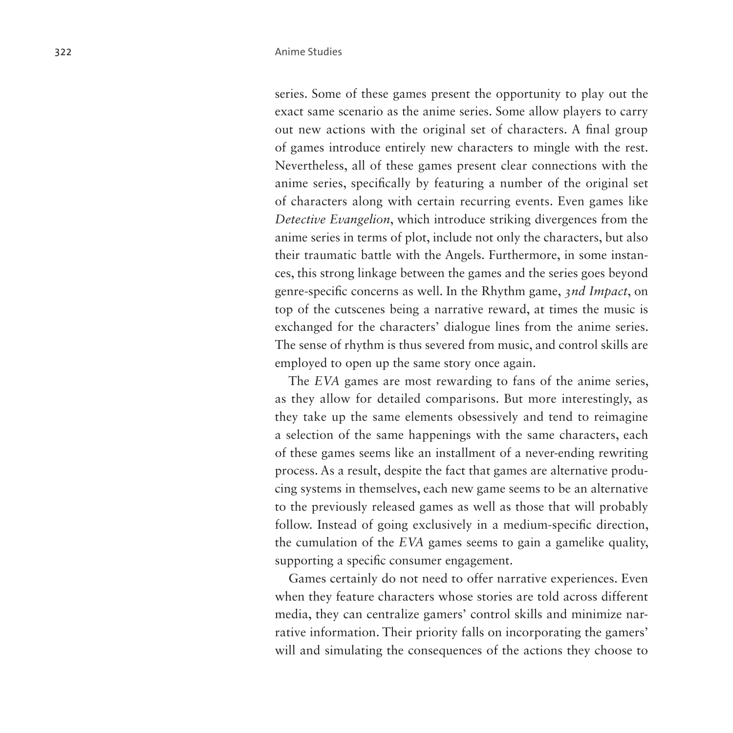series. Some of these games present the opportunity to play out the exact same scenario as the anime series. Some allow players to carry out new actions with the original set of characters. A final group of games introduce entirely new characters to mingle with the rest. Nevertheless, all of these games present clear connections with the anime series, specifically by featuring a number of the original set of characters along with certain recurring events. Even games like *Detective Evangelion*, which introduce striking divergences from the anime series in terms of plot, include not only the characters, but also their traumatic battle with the Angels. Furthermore, in some instances, this strong linkage between the games and the series goes beyond genre-specific concerns as well. In the Rhythm game, *3nd Impact*, on top of the cutscenes being a narrative reward, at times the music is exchanged for the characters' dialogue lines from the anime series. The sense of rhythm is thus severed from music, and control skills are employed to open up the same story once again.

The *EVA* games are most rewarding to fans of the anime series, as they allow for detailed comparisons. But more interestingly, as they take up the same elements obsessively and tend to reimagine a selection of the same happenings with the same characters, each of these games seems like an installment of a never-ending rewriting process. As a result, despite the fact that games are alternative producing systems in themselves, each new game seems to be an alternative to the previously released games as well as those that will probably follow. Instead of going exclusively in a medium-specific direction, the cumulation of the *EVA* games seems to gain a gamelike quality, supporting a specific consumer engagement.

Games certainly do not need to offer narrative experiences. Even when they feature characters whose stories are told across different media, they can centralize gamers' control skills and minimize narrative information. Their priority falls on incorporating the gamers' will and simulating the consequences of the actions they choose to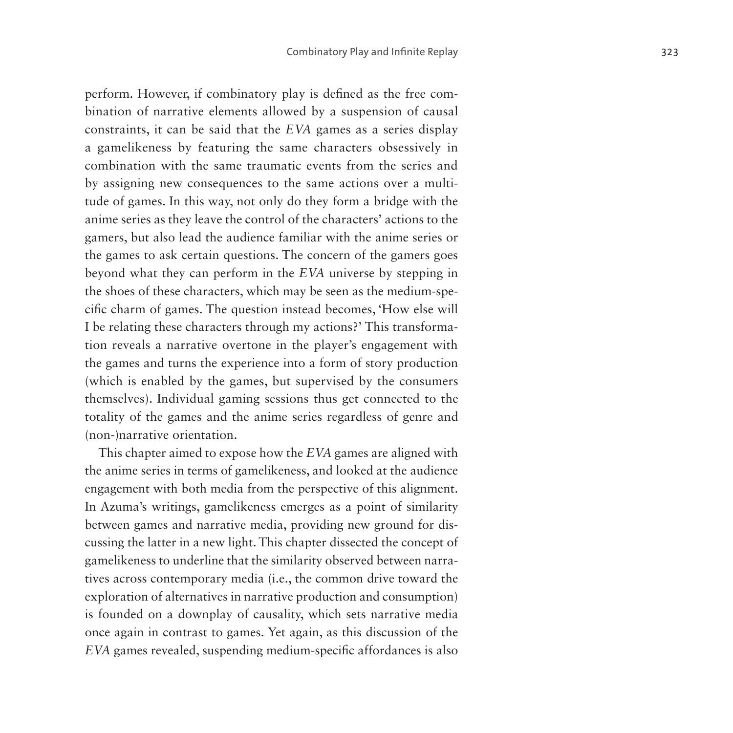perform. However, if combinatory play is defined as the free combination of narrative elements allowed by a suspension of causal constraints, it can be said that the *EVA* games as a series display a gamelikeness by featuring the same characters obsessively in combination with the same traumatic events from the series and by assigning new consequences to the same actions over a multitude of games. In this way, not only do they form a bridge with the anime series as they leave the control of the characters' actions to the gamers, but also lead the audience familiar with the anime series or the games to ask certain questions. The concern of the gamers goes beyond what they can perform in the *EVA* universe by stepping in the shoes of these characters, which may be seen as the medium-specific charm of games. The question instead becomes, 'How else will I be relating these characters through my actions?' This transformation reveals a narrative overtone in the player's engagement with the games and turns the experience into a form of story production (which is enabled by the games, but supervised by the consumers themselves). Individual gaming sessions thus get connected to the totality of the games and the anime series regardless of genre and (non-)narrative orientation.

This chapter aimed to expose how the *EVA* games are aligned with the anime series in terms of gamelikeness, and looked at the audience engagement with both media from the perspective of this alignment. In Azuma's writings, gamelikeness emerges as a point of similarity between games and narrative media, providing new ground for discussing the latter in a new light. This chapter dissected the concept of gamelikeness to underline that the similarity observed between narratives across contemporary media (i.e., the common drive toward the exploration of alternatives in narrative production and consumption) is founded on a downplay of causality, which sets narrative media once again in contrast to games. Yet again, as this discussion of the *EVA* games revealed, suspending medium-specific affordances is also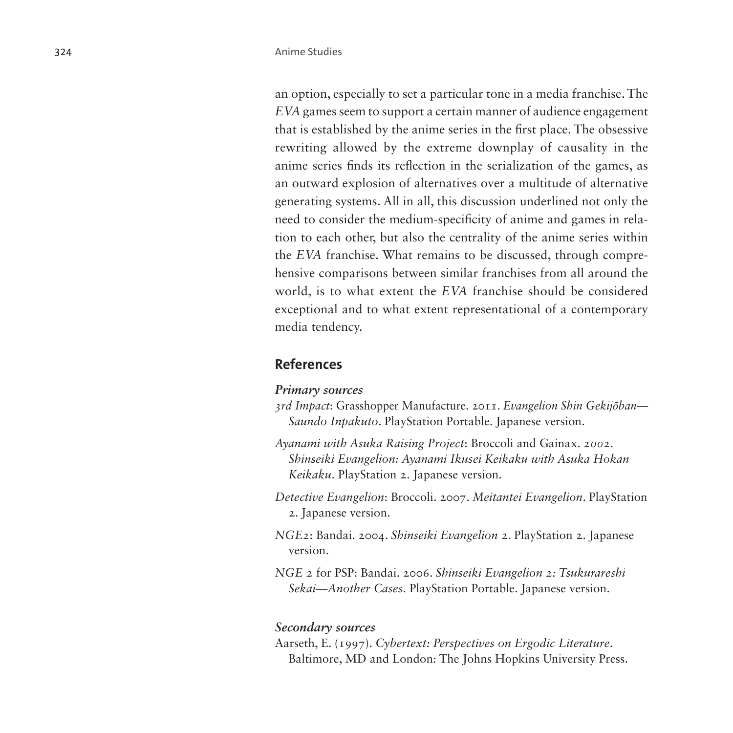an option, especially to set a particular tone in a media franchise. The *EVA* games seem to support a certain manner of audience engagement that is established by the anime series in the first place. The obsessive rewriting allowed by the extreme downplay of causality in the anime series finds its reflection in the serialization of the games, as an outward explosion of alternatives over a multitude of alternative generating systems. All in all, this discussion underlined not only the need to consider the medium-specificity of anime and games in relation to each other, but also the centrality of the anime series within the *EVA* franchise. What remains to be discussed, through comprehensive comparisons between similar franchises from all around the world, is to what extent the *EVA* franchise should be considered exceptional and to what extent representational of a contemporary media tendency.

#### **References**

#### *Primary sources*

- *3rd Impact*: Grasshopper Manufacture. 2011. *Evangelion Shin Gekijōban— Saundo Inpakuto*. PlayStation Portable. Japanese version.
- *Ayanami with Asuka Raising Project*: Broccoli and Gainax. *2002*. *Shinseiki Evangelion: Ayanami Ikusei Keikaku with Asuka Hokan Keikaku*. PlayStation 2. Japanese version.
- *Detective Evangelion*: Broccoli. 2007. *Meitantei Evangelion*. PlayStation 2. Japanese version.
- *NGE2*: Bandai. 2004. *Shinseiki Evangelion 2*. PlayStation 2. Japanese version.
- *NGE 2* for PSP: Bandai. 2006. *Shinseiki Evangelion 2: Tsukurareshi Sekai—Another Cases*. PlayStation Portable. Japanese version.

#### *Secondary sources*

Aarseth, E. (1997). *Cybertext: Perspectives on Ergodic Literature*. Baltimore, MD and London: The Johns Hopkins University Press.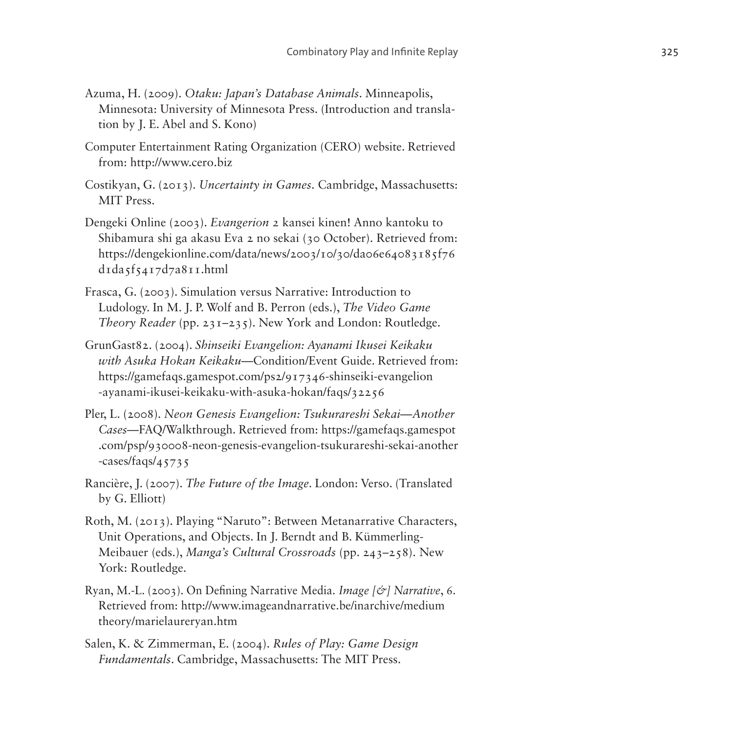- Azuma, H. (2009). *Otaku: Japan's Database Animals*. Minneapolis, Minnesota: University of Minnesota Press. (Introduction and translation by J. E. Abel and S. Kono)
- Computer Entertainment Rating Organization (CERO) website. Retrieved from: <http://www.cero.biz>
- Costikyan, G. (2013). *Uncertainty in Games*. Cambridge, Massachusetts: MIT Press.
- Dengeki Online (2003). *Evangerion 2* kansei kinen! Anno kantoku to Shibamura shi ga akasu Eva 2 no sekai (30 October). Retrieved from: [https://dengekionline.com/data/news/2003/10/30/da06e64083185f76](https://dengekionline.com/data/news/2003/10/30/da06e64083185f76d1da5f5417d7a811.html)  $d_{1}d_{3}f_{54}17d_{7}a_{81}1.html$
- Frasca, G. (2003). Simulation versus Narrative: Introduction to Ludology. In M. J. P. Wolf and B. Perron (eds.), *The Video Game Theory Reader* (pp. 231–235). New York and London: Routledge.
- GrunGast82. (2004). *Shinseiki Evangelion: Ayanami Ikusei Keikaku with Asuka Hokan Keikaku*—Condition/Event Guide. Retrieved from: [https://gamefaqs.gamespot.com/ps2/917346-shinseiki-evangelion](https://gamefaqs.gamespot.com/ps2/917346-shinseiki-evangelion-ayanami-ikusei-keikaku-with-asuka-hokan/faqs/32256) [-ayanami-ikusei-keikaku-with-asuka-hokan/faqs/32256](https://gamefaqs.gamespot.com/ps2/917346-shinseiki-evangelion-ayanami-ikusei-keikaku-with-asuka-hokan/faqs/32256)
- Pler, L. (2008). *Neon Genesis Evangelion: Tsukurareshi Sekai—Another Cases*—FAQ/Walkthrough. Retrieved from: [https://gamefaqs.gamespot](https://gamefaqs.gamespot.com/psp/930008-neon-genesis-evangelion-tsukurareshi-sekai-another-cases/faqs/45735) [.com/psp/930008-neon-genesis-evangelion-tsukurareshi-sekai-another](https://gamefaqs.gamespot.com/psp/930008-neon-genesis-evangelion-tsukurareshi-sekai-another-cases/faqs/45735) [-cases/faqs/45735](https://gamefaqs.gamespot.com/psp/930008-neon-genesis-evangelion-tsukurareshi-sekai-another-cases/faqs/45735)
- Rancière, J. (2007). *The Future of the Image*. London: Verso. (Translated by G. Elliott)
- Roth, M. (2013). Playing "Naruto": Between Metanarrative Characters, Unit Operations, and Objects. In J. Berndt and B. Kümmerling-Meibauer (eds.), *Manga's Cultural Crossroads* (pp. 243–258). New York: Routledge.
- Ryan, M.-L. (2003). On Defining Narrative Media. *Image [&] Narrative*, 6. Retrieved from: [http://www.imageandnarrative.be/inarchive/medium](http://www.imageandnarrative.be/inarchive/mediumtheory/marielaureryan.htm) [theory/marielaureryan.htm](http://www.imageandnarrative.be/inarchive/mediumtheory/marielaureryan.htm)
- Salen, K. & Zimmerman, E. (2004). *Rules of Play: Game Design Fundamentals*. Cambridge, Massachusetts: The MIT Press.